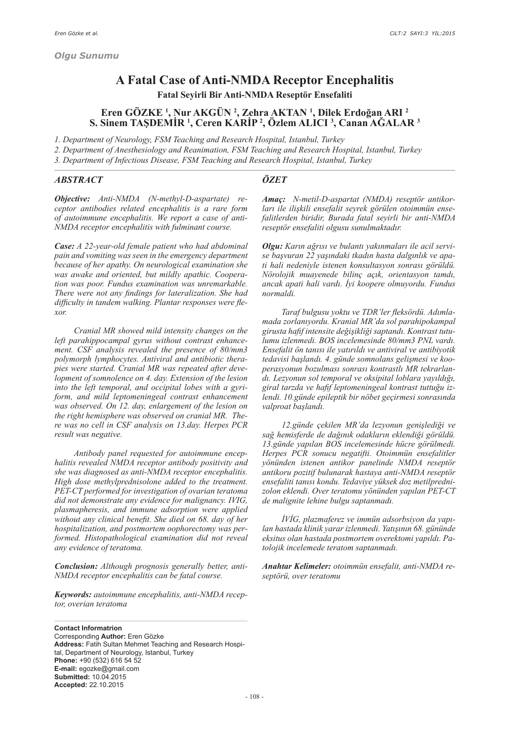# **A Fatal Case of Anti-NMDA Receptor Encephalitis Fatal Seyirli Bir Anti-NMDA Reseptör Ensefaliti**

# **Eren GÖZKE <sup>1</sup> , Nur AKGÜN <sup>2</sup> , Zehra AKTAN <sup>1</sup> , Dilek Erdoğan ARI <sup>2</sup> S. Sinem TAŞDEMİR <sup>1</sup> , Ceren KARİP <sup>2</sup> , Özlem ALICI 3 , Canan AĞALAR 3**

*1. Department of Neurology, FSM Teaching and Research Hospital, Istanbul, Turkey 2. Department of Anesthesiology and Reanimation, FSM Teaching and Research Hospital, Istanbul, Turkey 3. Department of Infectious Disease, FSM Teaching and Research Hospital, Istanbul, Turkey*

#### *ABSTRACT*

# *ÖZET*

*Objective: Anti-NMDA (N-methyl-D-aspartate) receptor antibodies related encephalitis is a rare form of autoimmune encephalitis. We report a case of anti-NMDA receptor encephalitis with fulminant course.*

*Case: A 22-year-old female patient who had abdominal pain and vomiting was seen in the emergency department because of her apathy. On neurological examination she was awake and oriented, but mildly apathic. Cooperation was poor. Fundus examination was unremarkable. There were not any findings for lateralization. She had difficulty in tandem walking. Plantar responses were flexor.*

 *Cranial MR showed mild intensity changes on the left parahippocampal gyrus without contrast enhancement. CSF analysis revealed the presence of 80/mm3 polymorph lymphocytes. Antiviral and antibiotic therapies were started. Cranial MR was repeated after development of somnolence on 4. day. Extension of the lesion into the left temporal, and occipital lobes with a gyriform, and mild leptomeningeal contrast enhancement was observed. On 12. day, enlargement of the lesion on the right hemisphere was observed on cranial MR. There was no cell in CSF analysis on 13.day. Herpes PCR result was negative.*

 *Antibody panel requested for autoimmune encephalitis revealed NMDA receptor antibody positivity and she was diagnosed as anti-NMDA receptor encephalitis. High dose methylprednisolone added to the treatment. PET-CT performed for investigation of ovarian teratoma did not demonstrate any evidence for malignancy. IVIG, plasmapheresis, and immune adsorption were applied without any clinical benefit. She died on 68. day of her hospitalization, and postmortem oophorectomy was performed. Histopathological examination did not reveal any evidence of teratoma.*

*Conclusion: Although prognosis generally better, anti-NMDA receptor encephalitis can be fatal course.*

*Keywords: autoimmune encephalitis, anti-NMDA receptor, overian teratoma*

**Contact Informatrion** Corresponding **Author:** Eren Gözke **Address:** Fatih Sultan Mehmet Teaching and Research Hospital, Department of Neurology, Istanbul, Turkey **Phone:** +90 (532) 616 54 52 **E-mail:** egozke@gmail.com **Submitted:** 10.04.2015 **Accepted:** 22.10.2015

*Amaç: N-metil-D-aspartat (NMDA) reseptör antikorları ile ilişkili ensefalit seyrek görülen otoimmün ensefalitlerden biridir, Burada fatal seyirli bir anti-NMDA reseptör ensefaliti olgusu sunulmaktadır.*

*Olgu: Karın ağrısı ve bulantı yakınmaları ile acil servise başvuran 22 yaşındaki tkadın hasta dalgınlık ve apati hali nedeniyle istenen konsultasyon sonrası görüldü. Nörolojik muayenede bilinç açık, orientasyon tamdı, ancak apati hali vardı. İyi koopere olmuyordu. Fundus normaldi.*

 *Taraf bulgusu yoktu ve TDR'ler fleksördü. Adımlamada zorlanıyordu. Kranial MR'da sol parahipokampal girusta hafif intensite değişikliği saptandı. Kontrast tutulumu izlenmedi. BOS incelemesinde 80/mm3 PNL vardı. Ensefalit ön tanısı ile yatırıldı ve antiviral ve antibiyotik tedavisi başlandı. 4. günde somnolans gelişmesi ve kooperasyonun bozulması sonrası kontrastlı MR tekrarlandı. Lezyonun sol temporal ve oksipital loblara yayıldığı, giral tarzda ve hafif leptomeningeal kontrast tuttuğu izlendi. 10.günde epileptik bir nöbet geçirmesi sonrasında valproat başlandı.*

 *12.günde çekilen MR'da lezyonun genişlediği ve sağ hemisferde de dağınık odakların eklendiği görüldü. 13.günde yapılan BOS incelemesinde hücre görülmedi. Herpes PCR sonucu negatifti. Otoimmün ensefalitler yönünden istenen antikor panelinde NMDA reseptör antikoru pozitif bulunarak hastaya anti-NMDA reseptör ensefaliti tanısı kondu. Tedaviye yüksek doz metilprednizolon eklendi. Over teratomu yönünden yapılan PET-CT de malignite lehine bulgu saptanmadı.*

 *İVİG, plazmaferez ve immün adsorbsiyon da yapılan hastada klinik yarar izlenmedi. Yatışının 68. gününde eksitus olan hastada postmortem overektomi yapıldı. Patolojik incelemede teratom saptanmadı.*

*Anahtar Kelimeler: otoimmün ensefalit, anti-NMDA reseptörü, over teratomu*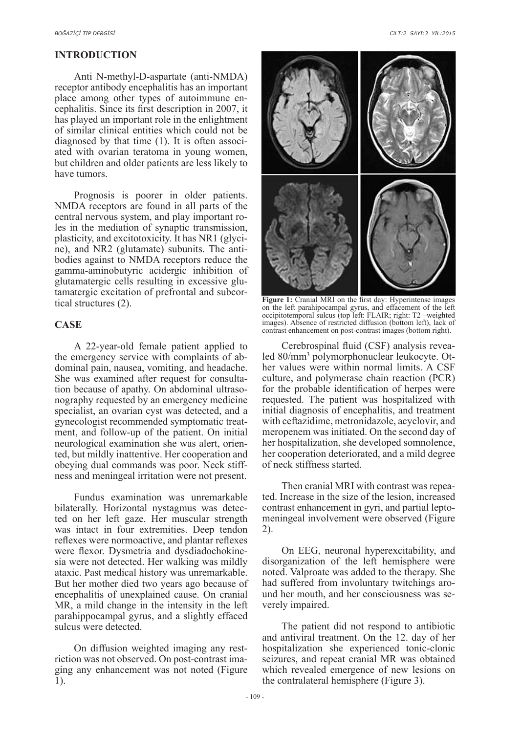### **INTRODUCTION**

Anti N-methyl-D-aspartate (anti-NMDA) receptor antibody encephalitis has an important place among other types of autoimmune encephalitis. Since its first description in 2007, it has played an important role in the enlightment of similar clinical entities which could not be diagnosed by that time (1). It is often associated with ovarian teratoma in young women, but children and older patients are less likely to have tumors.

Prognosis is poorer in older patients. NMDA receptors are found in all parts of the central nervous system, and play important roles in the mediation of synaptic transmission, plasticity, and excitotoxicity. It has NR1 (glycine), and NR2 (glutamate) subunits. The antibodies against to NMDA receptors reduce the gamma-aminobutyric acidergic inhibition of glutamatergic cells resulting in excessive glutamatergic excitation of prefrontal and subcortical structures (2).

### **CASE**

A 22-year-old female patient applied to the emergency service with complaints of abdominal pain, nausea, vomiting, and headache. She was examined after request for consultation because of apathy. On abdominal ultrasonography requested by an emergency medicine specialist, an ovarian cyst was detected, and a gynecologist recommended symptomatic treatment, and follow-up of the patient. On initial neurological examination she was alert, oriented, but mildly inattentive. Her cooperation and obeying dual commands was poor. Neck stiffness and meningeal irritation were not present.

Fundus examination was unremarkable bilaterally. Horizontal nystagmus was detected on her left gaze. Her muscular strength was intact in four extremities. Deep tendon reflexes were normoactive, and plantar reflexes were flexor. Dysmetria and dysdiadochokinesia were not detected. Her walking was mildly ataxic. Past medical history was unremarkable. But her mother died two years ago because of encephalitis of unexplained cause. On cranial MR, a mild change in the intensity in the left parahippocampal gyrus, and a slightly effaced sulcus were detected.

On diffusion weighted imaging any restriction was not observed. On post-contrast imaging any enhancement was not noted (Figure 1).



**Figure 1:** Cranial MRI on the first day: Hyperintense images on the left parahipocampal gyrus, and effacement of the left occipitotemporal sulcus (top left: FLAIR; right: T2 –weighted images). Absence of restricted diffusion (bottom left), lack of contrast enhancement on post-contrast images (bottom right).

Cerebrospinal fluid (CSF) analysis revealed 80/mm3 polymorphonuclear leukocyte. Other values were within normal limits. A CSF culture, and polymerase chain reaction (PCR) for the probable identification of herpes were requested. The patient was hospitalized with initial diagnosis of encephalitis, and treatment with ceftazidime, metronidazole, acyclovir, and meropenem was initiated. On the second day of her hospitalization, she developed somnolence, her cooperation deteriorated, and a mild degree of neck stiffness started.

Then cranial MRI with contrast was repeated. Increase in the size of the lesion, increased contrast enhancement in gyri, and partial leptomeningeal involvement were observed (Figure 2).

On EEG, neuronal hyperexcitability, and disorganization of the left hemisphere were noted. Valproate was added to the therapy. She had suffered from involuntary twitchings around her mouth, and her consciousness was severely impaired.

The patient did not respond to antibiotic and antiviral treatment. On the 12. day of her hospitalization she experienced tonic-clonic seizures, and repeat cranial MR was obtained which revealed emergence of new lesions on the contralateral hemisphere (Figure 3).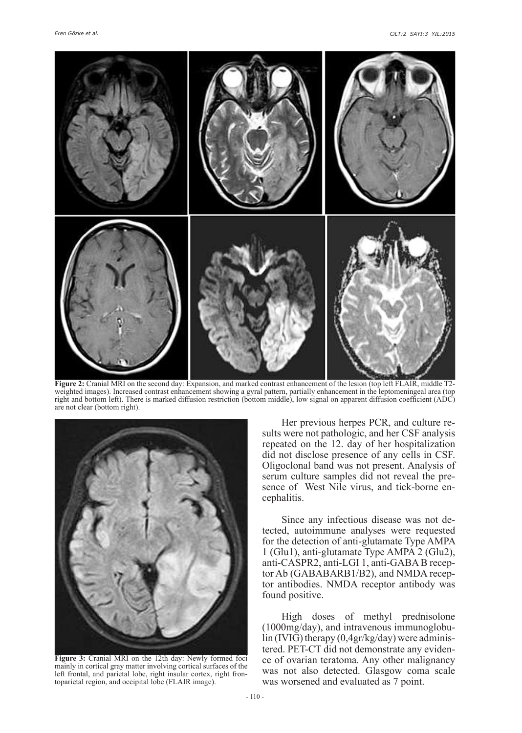

**Figure 2:** Cranial MRI on the second day: Expansion, and marked contrast enhancement of the lesion (top left FLAIR, middle T2 weighted images). Increased contrast enhancement showing a gyral pattern, partially enhancement in the leptomeningeal area (top right and bottom left). There is marked diffusion restriction (bottom middle), low signal on apparent diffusion coefficient (ADC) are not clear (bottom right).



**Figure 3:** Cranial MRI on the 12th day: Newly formed foci mainly in cortical gray matter involving cortical surfaces of the left frontal, and parietal lobe, right insular cortex, right frontoparietal region, and occipital lobe (FLAIR image).

Her previous herpes PCR, and culture results were not pathologic, and her CSF analysis repeated on the 12. day of her hospitalization did not disclose presence of any cells in CSF. Oligoclonal band was not present. Analysis of serum culture samples did not reveal the presence of West Nile virus, and tick-borne encephalitis.

Since any infectious disease was not detected, autoimmune analyses were requested for the detection of anti-glutamate Type AMPA 1 (Glu1), anti-glutamate Type AMPA 2 (Glu2), anti-CASPR2, anti-LGI 1, anti-GABA B receptor Ab (GABABARB1/B2), and NMDA receptor antibodies. NMDA receptor antibody was found positive.

High doses of methyl prednisolone (1000mg/day), and intravenous immunoglobulin (IVIG) therapy (0,4gr/kg/day) were administered. PET-CT did not demonstrate any evidence of ovarian teratoma. Any other malignancy was not also detected. Glasgow coma scale was worsened and evaluated as 7 point.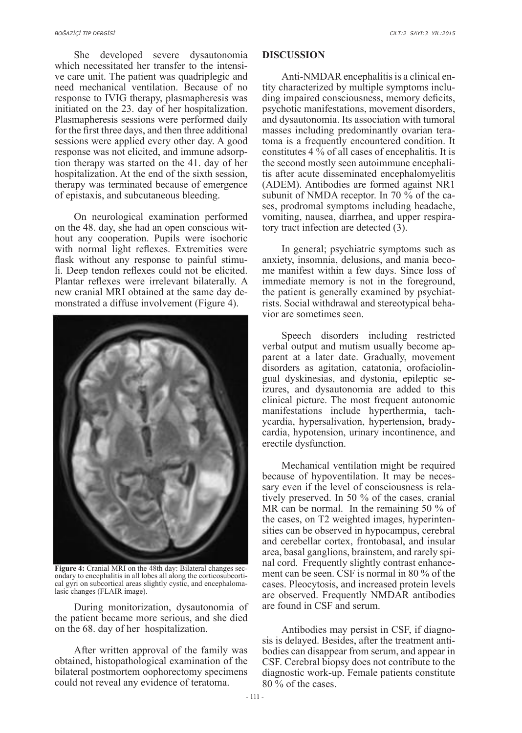She developed severe dysautonomia which necessitated her transfer to the intensive care unit. The patient was quadriplegic and need mechanical ventilation. Because of no response to IVIG therapy, plasmapheresis was initiated on the 23. day of her hospitalization. Plasmapheresis sessions were performed daily for the first three days, and then three additional sessions were applied every other day. A good response was not elicited, and immune adsorption therapy was started on the 41. day of her hospitalization. At the end of the sixth session, therapy was terminated because of emergence of epistaxis, and subcutaneous bleeding.

On neurological examination performed on the 48. day, she had an open conscious without any cooperation. Pupils were isochoric with normal light reflexes. Extremities were flask without any response to painful stimuli. Deep tendon reflexes could not be elicited. Plantar reflexes were irrelevant bilaterally. A new cranial MRI obtained at the same day demonstrated a diffuse involvement (Figure 4).



**Figure 4:** Cranial MRI on the 48th day: Bilateral changes secondary to encephalitis in all lobes all along the corticosubcortical gyri on subcortical areas slightly cystic, and encephalomalasic changes (FLAIR image).

During monitorization, dysautonomia of the patient became more serious, and she died on the 68. day of her hospitalization.

After written approval of the family was obtained, histopathological examination of the bilateral postmortem oophorectomy specimens could not reveal any evidence of teratoma.

### **DISCUSSION**

Anti-NMDAR encephalitis is a clinical entity characterized by multiple symptoms including impaired consciousness, memory deficits, psychotic manifestations, movement disorders, and dysautonomia. Its association with tumoral masses including predominantly ovarian teratoma is a frequently encountered condition. It constitutes 4 % of all cases of encephalitis. It is the second mostly seen autoimmune encephalitis after acute disseminated encephalomyelitis (ADEM). Antibodies are formed against NR1 subunit of NMDA receptor. In 70 % of the cases, prodromal symptoms including headache, vomiting, nausea, diarrhea, and upper respiratory tract infection are detected (3).

In general; psychiatric symptoms such as anxiety, insomnia, delusions, and mania become manifest within a few days. Since loss of immediate memory is not in the foreground, the patient is generally examined by psychiatrists. Social withdrawal and stereotypical behavior are sometimes seen.

Speech disorders including restricted verbal output and mutism usually become apparent at a later date. Gradually, movement disorders as agitation, catatonia, orofaciolingual dyskinesias, and dystonia, epileptic seizures, and dysautonomia are added to this clinical picture. The most frequent autonomic manifestations include hyperthermia, tachycardia, hypersalivation, hypertension, bradycardia, hypotension, urinary incontinence, and erectile dysfunction.

Mechanical ventilation might be required because of hypoventilation. It may be necessary even if the level of consciousness is relatively preserved. In 50 % of the cases, cranial MR can be normal. In the remaining 50 % of the cases, on T2 weighted images, hyperintensities can be observed in hypocampus, cerebral and cerebellar cortex, frontobasal, and insular area, basal ganglions, brainstem, and rarely spinal cord. Frequently slightly contrast enhancement can be seen. CSF is normal in 80 % of the cases. Pleocytosis, and increased protein levels are observed. Frequently NMDAR antibodies are found in CSF and serum.

Antibodies may persist in CSF, if diagnosis is delayed. Besides, after the treatment antibodies can disappear from serum, and appear in CSF. Cerebral biopsy does not contribute to the diagnostic work-up. Female patients constitute 80 % of the cases.